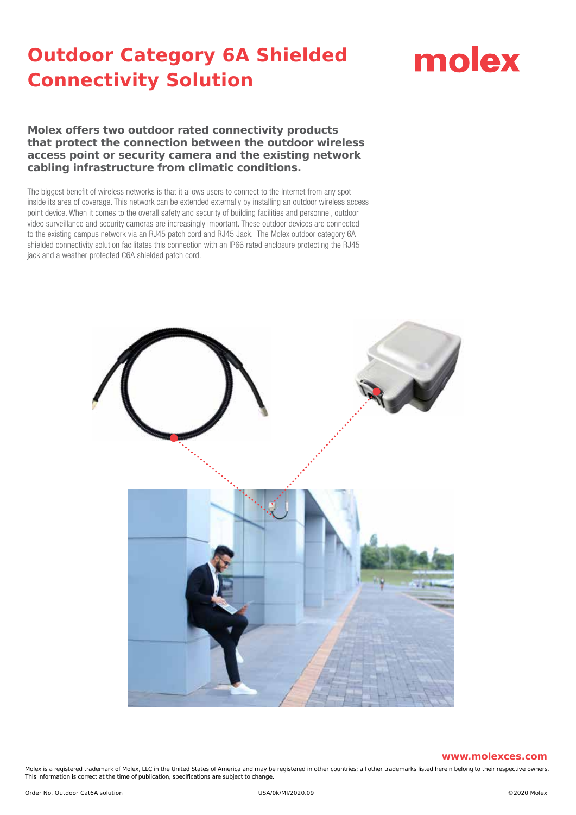# molex

**Molex offers two outdoor rated connectivity products that protect the connection between the outdoor wireless access point or security camera and the existing network cabling infrastructure from climatic conditions.**

The biggest benefit of wireless networks is that it allows users to connect to the Internet from any spot inside its area of coverage. This network can be extended externally by installing an outdoor wireless access point device. When it comes to the overall safety and security of building facilities and personnel, outdoor video surveillance and security cameras are increasingly important. These outdoor devices are connected to the existing campus network via an RJ45 patch cord and RJ45 Jack. The Molex outdoor category 6A shielded connectivity solution facilitates this connection with an IP66 rated enclosure protecting the RJ45 jack and a weather protected C6A shielded patch cord.



#### **www.molexces.com**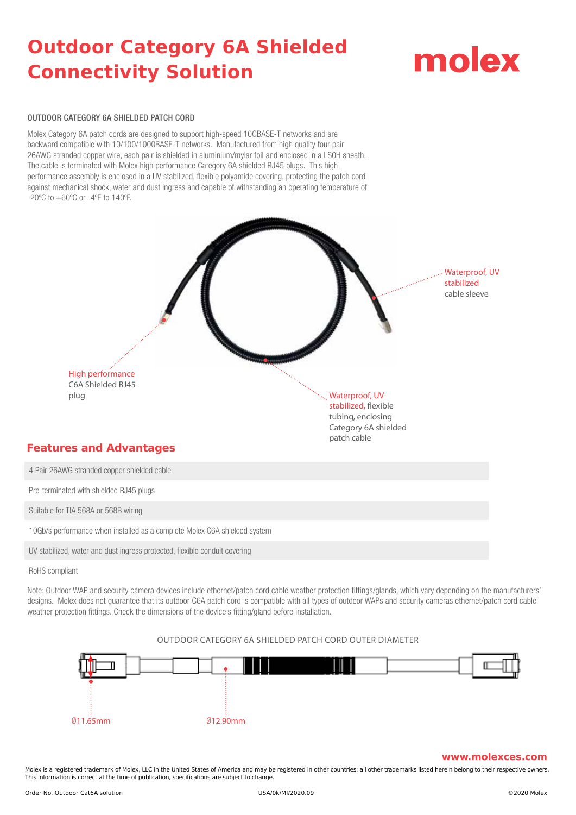# molex

#### OUTDOOR CATEGORY 6A SHIELDED PATCH CORD

Molex Category 6A patch cords are designed to support high-speed 10GBASE-T networks and are backward compatible with 10/100/1000BASE-T networks. Manufactured from high quality four pair 26AWG stranded copper wire, each pair is shielded in aluminium/mylar foil and enclosed in a LS0H sheath. The cable is terminated with Molex high performance Category 6A shielded RJ45 plugs. This highperformance assembly is enclosed in a UV stabilized, flexible polyamide covering, protecting the patch cord against mechanical shock, water and dust ingress and capable of withstanding an operating temperature of -20ºC to +60ºC or -4ºF to 140ºF.



10Gb/s performance when installed as a complete Molex C6A shielded system

UV stabilized, water and dust ingress protected, flexible conduit covering

RoHS compliant

Note: Outdoor WAP and security camera devices include ethernet/patch cord cable weather protection fittings/glands, which vary depending on the manufacturers' designs. Molex does not quarantee that its outdoor C6A patch cord is compatible with all types of outdoor WAPs and security cameras ethernet/patch cord cable weather protection fittings. Check the dimensions of the device's fitting/gland before installation.



#### OUTDOOR CATEGORY 6A SHIELDED PATCH CORD OUTER DIAMETER

#### **www.molexces.com**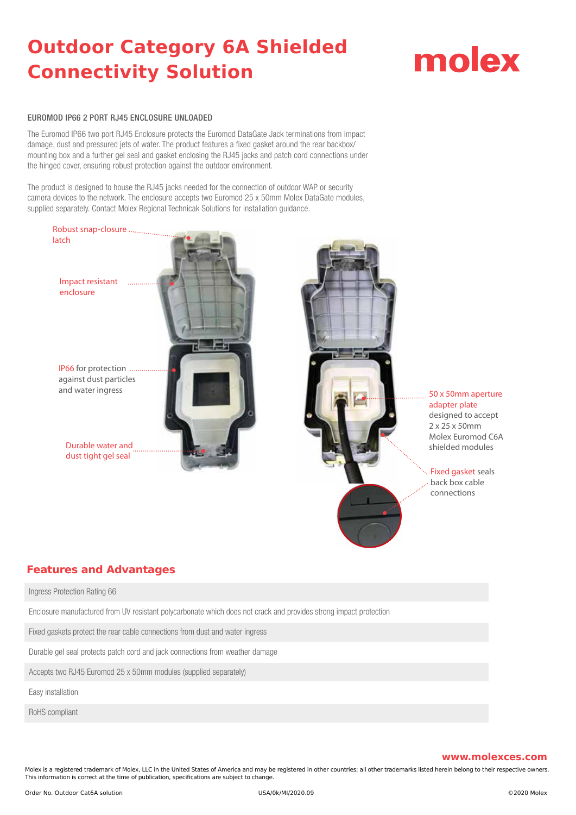# molex

#### EUROMOD IP66 2 PORT RJ45 ENCLOSURE UNLOADED

The Euromod IP66 two port RJ45 Enclosure protects the Euromod DataGate Jack terminations from impact damage, dust and pressured jets of water. The product features a fixed gasket around the rear backbox/ mounting box and a further gel seal and gasket enclosing the RJ45 jacks and patch cord connections under the hinged cover, ensuring robust protection against the outdoor environment.

The product is designed to house the RJ45 jacks needed for the connection of outdoor WAP or security camera devices to the network. The enclosure accepts two Euromod 25 x 50mm Molex DataGate modules, supplied separately. Contact Molex Regional Technicak Solutions for installation guidance.



### **Features and Advantages**

Ingress Protection Rating 66

Enclosure manufactured from UV resistant polycarbonate which does not crack and provides strong impact protection

Fixed gaskets protect the rear cable connections from dust and water ingress

Durable gel seal protects patch cord and jack connections from weather damage

Accepts two RJ45 Euromod 25 x 50mm modules (supplied separately)

Easy installation

RoHS compliant

#### **www.molexces.com**